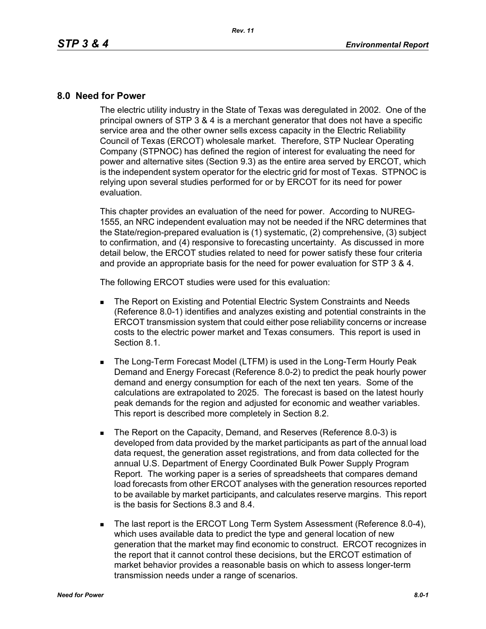## **8.0 Need for Power**

The electric utility industry in the State of Texas was deregulated in 2002. One of the principal owners of STP 3 & 4 is a merchant generator that does not have a specific service area and the other owner sells excess capacity in the Electric Reliability Council of Texas (ERCOT) wholesale market. Therefore, STP Nuclear Operating Company (STPNOC) has defined the region of interest for evaluating the need for power and alternative sites (Section 9.3) as the entire area served by ERCOT, which is the independent system operator for the electric grid for most of Texas. STPNOC is relying upon several studies performed for or by ERCOT for its need for power evaluation.

This chapter provides an evaluation of the need for power. According to NUREG-1555, an NRC independent evaluation may not be needed if the NRC determines that the State/region-prepared evaluation is (1) systematic, (2) comprehensive, (3) subject to confirmation, and (4) responsive to forecasting uncertainty. As discussed in more detail below, the ERCOT studies related to need for power satisfy these four criteria and provide an appropriate basis for the need for power evaluation for STP 3 & 4.

The following ERCOT studies were used for this evaluation:

- **The Report on Existing and Potential Electric System Constraints and Needs** (Reference 8.0-1) identifies and analyzes existing and potential constraints in the ERCOT transmission system that could either pose reliability concerns or increase costs to the electric power market and Texas consumers. This report is used in Section 8.1.
- **The Long-Term Forecast Model (LTFM) is used in the Long-Term Hourly Peak** Demand and Energy Forecast (Reference 8.0-2) to predict the peak hourly power demand and energy consumption for each of the next ten years. Some of the calculations are extrapolated to 2025. The forecast is based on the latest hourly peak demands for the region and adjusted for economic and weather variables. This report is described more completely in Section 8.2.
- The Report on the Capacity, Demand, and Reserves (Reference 8.0-3) is developed from data provided by the market participants as part of the annual load data request, the generation asset registrations, and from data collected for the annual U.S. Department of Energy Coordinated Bulk Power Supply Program Report. The working paper is a series of spreadsheets that compares demand load forecasts from other ERCOT analyses with the generation resources reported to be available by market participants, and calculates reserve margins. This report is the basis for Sections 8.3 and 8.4.
- The last report is the ERCOT Long Term System Assessment (Reference 8.0-4), which uses available data to predict the type and general location of new generation that the market may find economic to construct. ERCOT recognizes in the report that it cannot control these decisions, but the ERCOT estimation of market behavior provides a reasonable basis on which to assess longer-term transmission needs under a range of scenarios.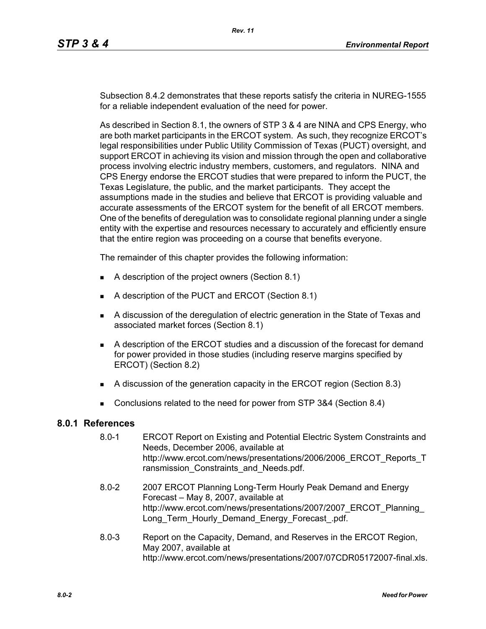Subsection 8.4.2 demonstrates that these reports satisfy the criteria in NUREG-1555 for a reliable independent evaluation of the need for power.

As described in Section 8.1, the owners of STP 3 & 4 are NINA and CPS Energy, who are both market participants in the ERCOT system. As such, they recognize ERCOT's legal responsibilities under Public Utility Commission of Texas (PUCT) oversight, and support ERCOT in achieving its vision and mission through the open and collaborative process involving electric industry members, customers, and regulators. NINA and CPS Energy endorse the ERCOT studies that were prepared to inform the PUCT, the Texas Legislature, the public, and the market participants. They accept the assumptions made in the studies and believe that ERCOT is providing valuable and accurate assessments of the ERCOT system for the benefit of all ERCOT members. One of the benefits of deregulation was to consolidate regional planning under a single entity with the expertise and resources necessary to accurately and efficiently ensure that the entire region was proceeding on a course that benefits everyone.

The remainder of this chapter provides the following information:

- A description of the project owners (Section 8.1)
- A description of the PUCT and ERCOT (Section 8.1)
- A discussion of the deregulation of electric generation in the State of Texas and associated market forces (Section 8.1)
- A description of the ERCOT studies and a discussion of the forecast for demand for power provided in those studies (including reserve margins specified by ERCOT) (Section 8.2)
- A discussion of the generation capacity in the ERCOT region (Section 8.3)
- Conclusions related to the need for power from STP 3&4 (Section 8.4)

## **8.0.1 References**

- 8.0-1 ERCOT Report on Existing and Potential Electric System Constraints and Needs, December 2006, available at http://www.ercot.com/news/presentations/2006/2006\_ERCOT\_Reports\_T ransmission Constraints and Needs.pdf.
- [8.0-2 2007 ERCOT Planning Long-Term Hourly Peak Demand and Energy](http://www.ercot.com/news/presentations/2007/2007_ERCOT_Planning_Long_Term_Hourly_Demand_Energy_Forecast_.pdf)  Forecast – May 8, 2007, available at http://www.ercot.com/news/presentations/2007/2007\_ERCOT\_Planning\_ Long\_Term\_Hourly\_Demand\_Energy\_Forecast\_.pdf.
- 8.0-3 Report on the Capacity, Demand, and Reserves in the ERCOT Region, May 2007, available at http://www.ercot.com/news/presentations/2007/07CDR05172007-final.xls.